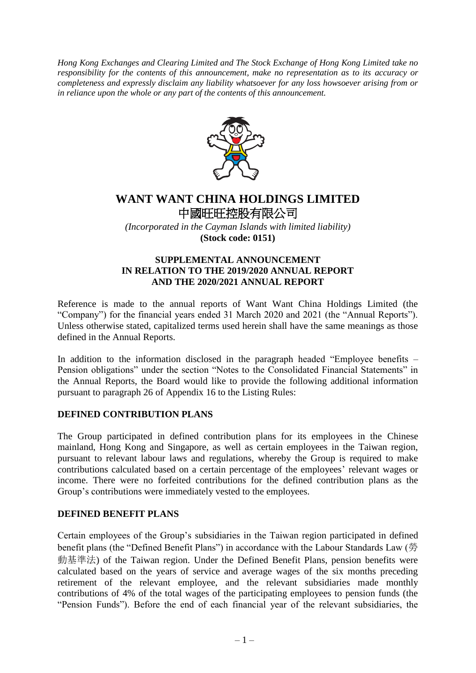*Hong Kong Exchanges and Clearing Limited and The Stock Exchange of Hong Kong Limited take no responsibility for the contents of this announcement, make no representation as to its accuracy or completeness and expressly disclaim any liability whatsoever for any loss howsoever arising from or in reliance upon the whole or any part of the contents of this announcement.*



# **WANT WANT CHINA HOLDINGS LIMITED** 中國旺旺控股有限公司

*(Incorporated in the Cayman Islands with limited liability)* **(Stock code: 0151)**

### **SUPPLEMENTAL ANNOUNCEMENT IN RELATION TO THE 2019/2020 ANNUAL REPORT AND THE 2020/2021 ANNUAL REPORT**

Reference is made to the annual reports of Want Want China Holdings Limited (the "Company") for the financial years ended 31 March 2020 and 2021 (the "Annual Reports"). Unless otherwise stated, capitalized terms used herein shall have the same meanings as those defined in the Annual Reports.

In addition to the information disclosed in the paragraph headed "Employee benefits – Pension obligations" under the section "Notes to the Consolidated Financial Statements" in the Annual Reports, the Board would like to provide the following additional information pursuant to paragraph 26 of Appendix 16 to the Listing Rules:

## **DEFINED CONTRIBUTION PLANS**

The Group participated in defined contribution plans for its employees in the Chinese mainland, Hong Kong and Singapore, as well as certain employees in the Taiwan region, pursuant to relevant labour laws and regulations, whereby the Group is required to make contributions calculated based on a certain percentage of the employees' relevant wages or income. There were no forfeited contributions for the defined contribution plans as the Group's contributions were immediately vested to the employees.

### **DEFINED BENEFIT PLANS**

Certain employees of the Group's subsidiaries in the Taiwan region participated in defined benefit plans (the "Defined Benefit Plans") in accordance with the Labour Standards Law (勞 動基準法) of the Taiwan region. Under the Defined Benefit Plans, pension benefits were calculated based on the years of service and average wages of the six months preceding retirement of the relevant employee, and the relevant subsidiaries made monthly contributions of 4% of the total wages of the participating employees to pension funds (the "Pension Funds"). Before the end of each financial year of the relevant subsidiaries, the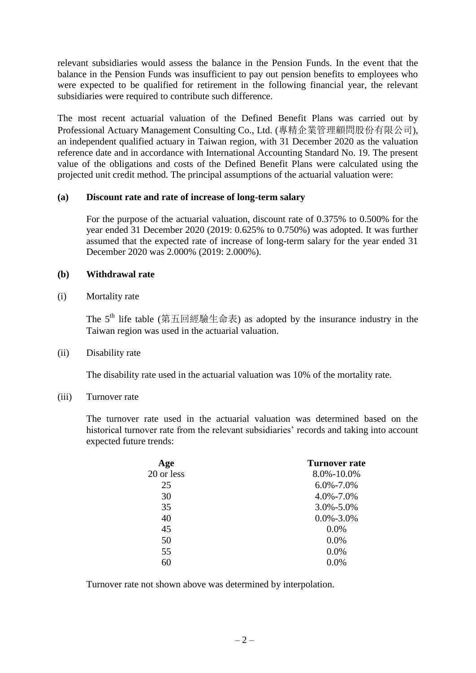relevant subsidiaries would assess the balance in the Pension Funds. In the event that the balance in the Pension Funds was insufficient to pay out pension benefits to employees who were expected to be qualified for retirement in the following financial year, the relevant subsidiaries were required to contribute such difference.

The most recent actuarial valuation of the Defined Benefit Plans was carried out by Professional Actuary Management Consulting Co., Ltd. (專精企業管理顧問股份有限公司), an independent qualified actuary in Taiwan region, with 31 December 2020 as the valuation reference date and in accordance with International Accounting Standard No. 19. The present value of the obligations and costs of the Defined Benefit Plans were calculated using the projected unit credit method. The principal assumptions of the actuarial valuation were:

#### **(a) Discount rate and rate of increase of long-term salary**

For the purpose of the actuarial valuation, discount rate of 0.375% to 0.500% for the year ended 31 December 2020 (2019: 0.625% to 0.750%) was adopted. It was further assumed that the expected rate of increase of long-term salary for the year ended 31 December 2020 was 2.000% (2019: 2.000%).

#### **(b) Withdrawal rate**

(i) Mortality rate

The  $5<sup>th</sup>$  life table (第五回經驗生命表) as adopted by the insurance industry in the Taiwan region was used in the actuarial valuation.

(ii) Disability rate

The disability rate used in the actuarial valuation was 10% of the mortality rate.

(iii) Turnover rate

The turnover rate used in the actuarial valuation was determined based on the historical turnover rate from the relevant subsidiaries' records and taking into account expected future trends:

| Age        | <b>Turnover rate</b> |  |
|------------|----------------------|--|
| 20 or less | 8.0%-10.0%           |  |
| 25         | $6.0\% - 7.0\%$      |  |
| 30         | 4.0%-7.0%            |  |
| 35         | $3.0\% - 5.0\%$      |  |
| 40         | $0.0\% - 3.0\%$      |  |
| 45         | 0.0%                 |  |
| 50         | $0.0\%$              |  |
| 55         | $0.0\%$              |  |
| 60         | $0.0\%$              |  |

Turnover rate not shown above was determined by interpolation.